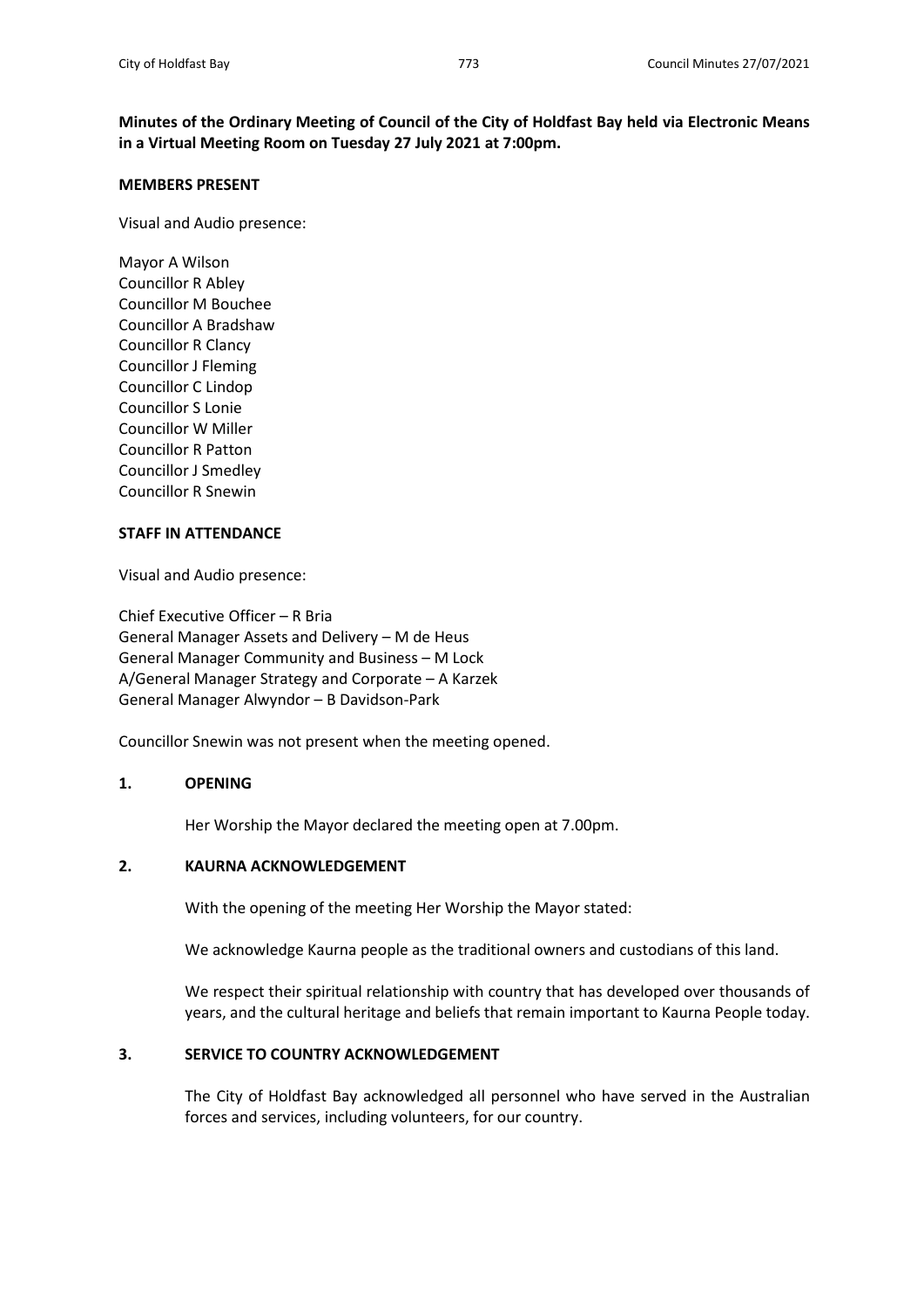**Minutes of the Ordinary Meeting of Council of the City of Holdfast Bay held via Electronic Means in a Virtual Meeting Room on Tuesday 27 July 2021 at 7:00pm.**

#### **MEMBERS PRESENT**

Visual and Audio presence:

Mayor A Wilson Councillor R Abley Councillor M Bouchee Councillor A Bradshaw Councillor R Clancy Councillor J Fleming Councillor C Lindop Councillor S Lonie Councillor W Miller Councillor R Patton Councillor J Smedley Councillor R Snewin

## **STAFF IN ATTENDANCE**

Visual and Audio presence:

Chief Executive Officer – R Bria General Manager Assets and Delivery – M de Heus General Manager Community and Business – M Lock A/General Manager Strategy and Corporate – A Karzek General Manager Alwyndor – B Davidson-Park

Councillor Snewin was not present when the meeting opened.

## **1. OPENING**

Her Worship the Mayor declared the meeting open at 7.00pm.

#### **2. KAURNA ACKNOWLEDGEMENT**

With the opening of the meeting Her Worship the Mayor stated:

We acknowledge Kaurna people as the traditional owners and custodians of this land.

We respect their spiritual relationship with country that has developed over thousands of years, and the cultural heritage and beliefs that remain important to Kaurna People today.

#### **3. SERVICE TO COUNTRY ACKNOWLEDGEMENT**

The City of Holdfast Bay acknowledged all personnel who have served in the Australian forces and services, including volunteers, for our country.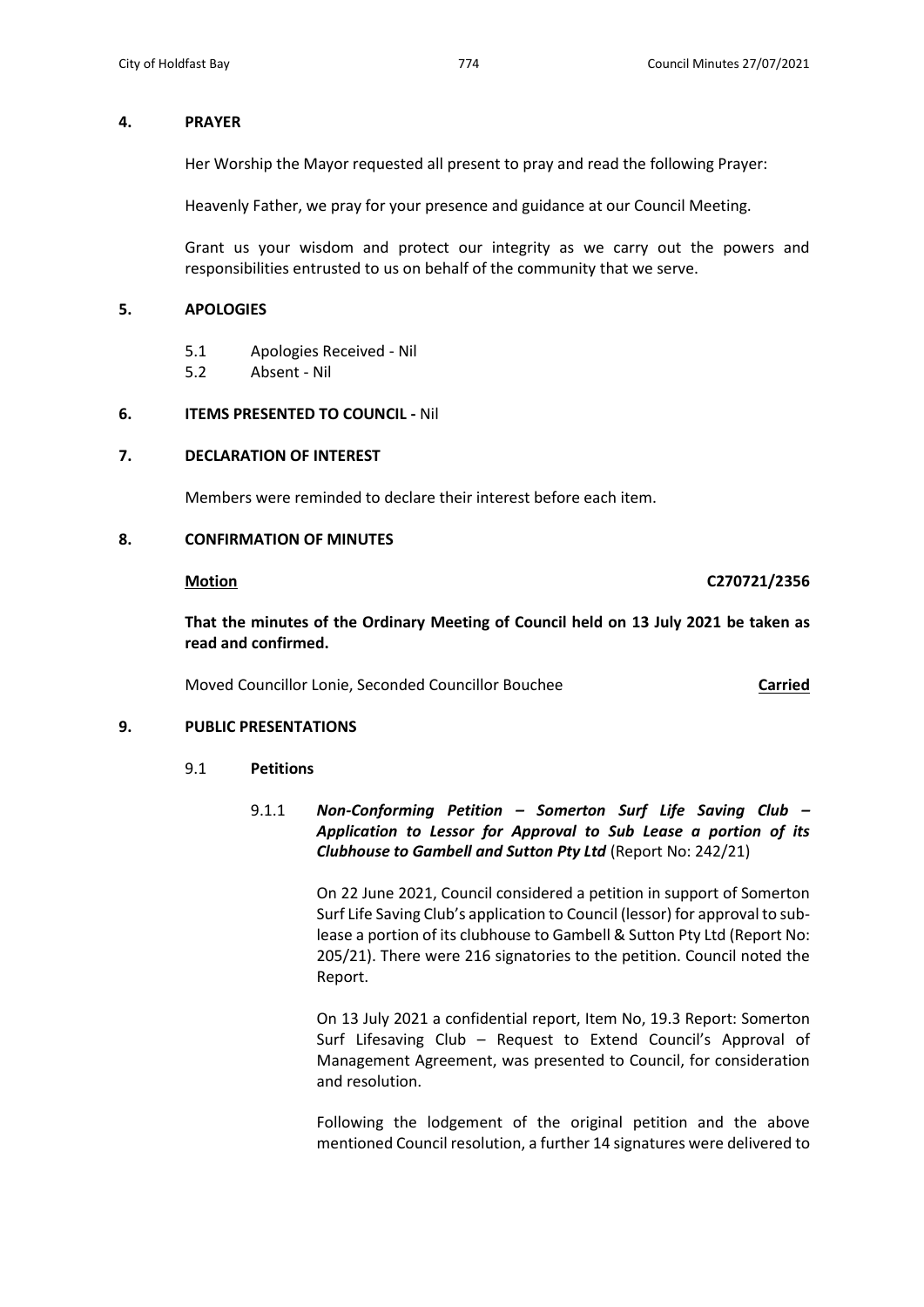## **4. PRAYER**

Her Worship the Mayor requested all present to pray and read the following Prayer:

Heavenly Father, we pray for your presence and guidance at our Council Meeting.

Grant us your wisdom and protect our integrity as we carry out the powers and responsibilities entrusted to us on behalf of the community that we serve.

## **5. APOLOGIES**

- 5.1 Apologies Received Nil
- 5.2 Absent Nil

## **6. ITEMS PRESENTED TO COUNCIL -** Nil

# **7. DECLARATION OF INTEREST**

Members were reminded to declare their interest before each item.

## **8. CONFIRMATION OF MINUTES**

**Motion C270721/2356**

**That the minutes of the Ordinary Meeting of Council held on 13 July 2021 be taken as read and confirmed.**

Moved Councillor Lonie, Seconded Councillor Bouchee **Carried**

# **9. PUBLIC PRESENTATIONS**

## 9.1 **Petitions**

9.1.1 *Non-Conforming Petition – Somerton Surf Life Saving Club – Application to Lessor for Approval to Sub Lease a portion of its Clubhouse to Gambell and Sutton Pty Ltd* (Report No: 242/21)

> On 22 June 2021, Council considered a petition in support of Somerton Surf Life Saving Club's application to Council (lessor) for approval to sublease a portion of its clubhouse to Gambell & Sutton Pty Ltd (Report No: 205/21). There were 216 signatories to the petition. Council noted the Report.

> On 13 July 2021 a confidential report, Item No, 19.3 Report: Somerton Surf Lifesaving Club – Request to Extend Council's Approval of Management Agreement, was presented to Council, for consideration and resolution.

> Following the lodgement of the original petition and the above mentioned Council resolution, a further 14 signatures were delivered to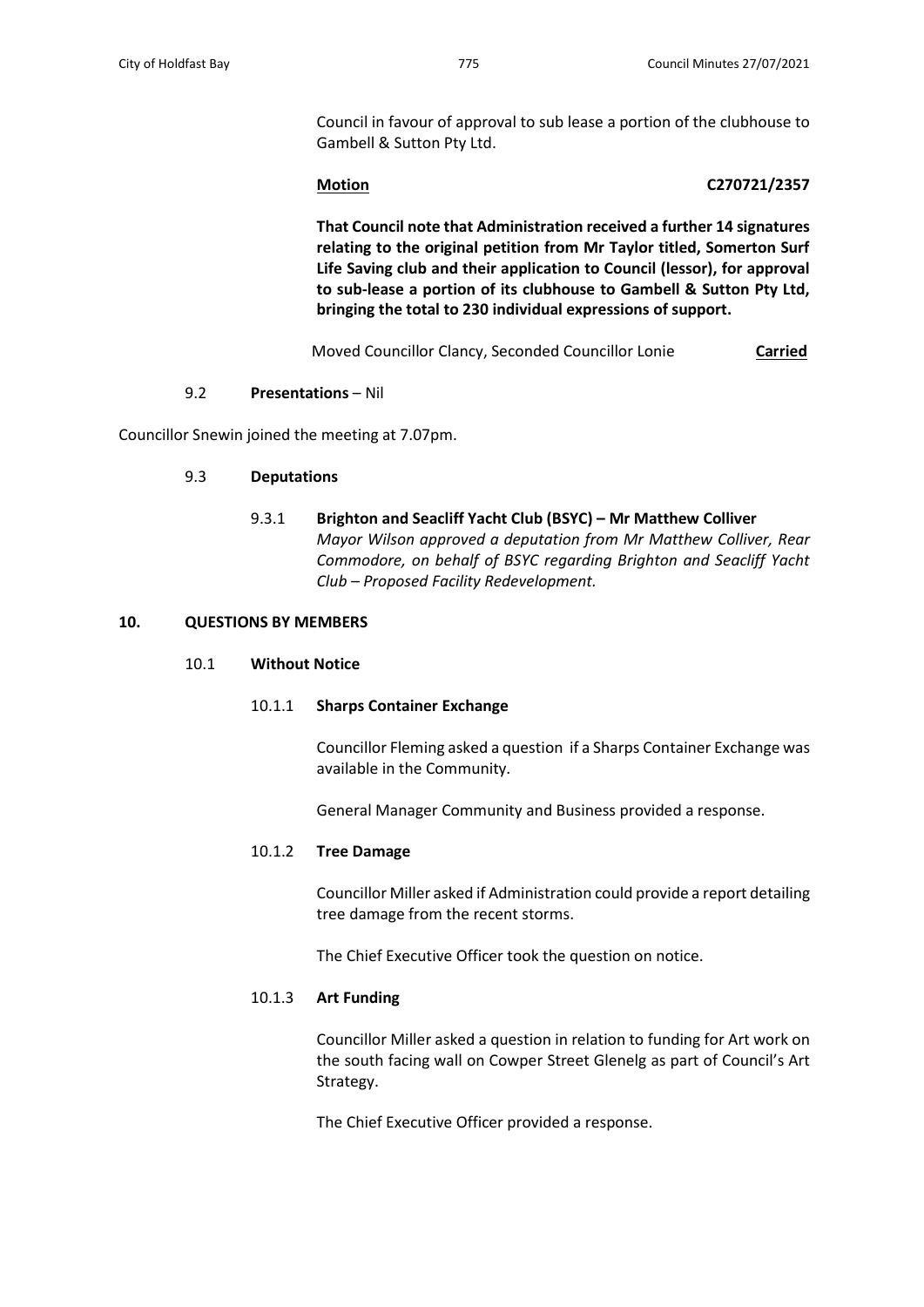Council in favour of approval to sub lease a portion of the clubhouse to Gambell & Sutton Pty Ltd.

## **Motion C270721/2357**

**That Council note that Administration received a further 14 signatures relating to the original petition from Mr Taylor titled, Somerton Surf Life Saving club and their application to Council (lessor), for approval to sub-lease a portion of its clubhouse to Gambell & Sutton Pty Ltd, bringing the total to 230 individual expressions of support.**

Moved Councillor Clancy, Seconded Councillor Lonie **Carried**

## 9.2 **Presentations** – Nil

Councillor Snewin joined the meeting at 7.07pm.

## 9.3 **Deputations**

9.3.1 **Brighton and Seacliff Yacht Club (BSYC) – Mr Matthew Colliver** *Mayor Wilson approved a deputation from Mr Matthew Colliver, Rear Commodore, on behalf of BSYC regarding Brighton and Seacliff Yacht Club – Proposed Facility Redevelopment.*

## **10. QUESTIONS BY MEMBERS**

## 10.1 **Without Notice**

## 10.1.1 **Sharps Container Exchange**

Councillor Fleming asked a question if a Sharps Container Exchange was available in the Community.

General Manager Community and Business provided a response.

## 10.1.2 **Tree Damage**

Councillor Miller asked if Administration could provide a report detailing tree damage from the recent storms.

The Chief Executive Officer took the question on notice.

## 10.1.3 **Art Funding**

Councillor Miller asked a question in relation to funding for Art work on the south facing wall on Cowper Street Glenelg as part of Council's Art Strategy.

The Chief Executive Officer provided a response.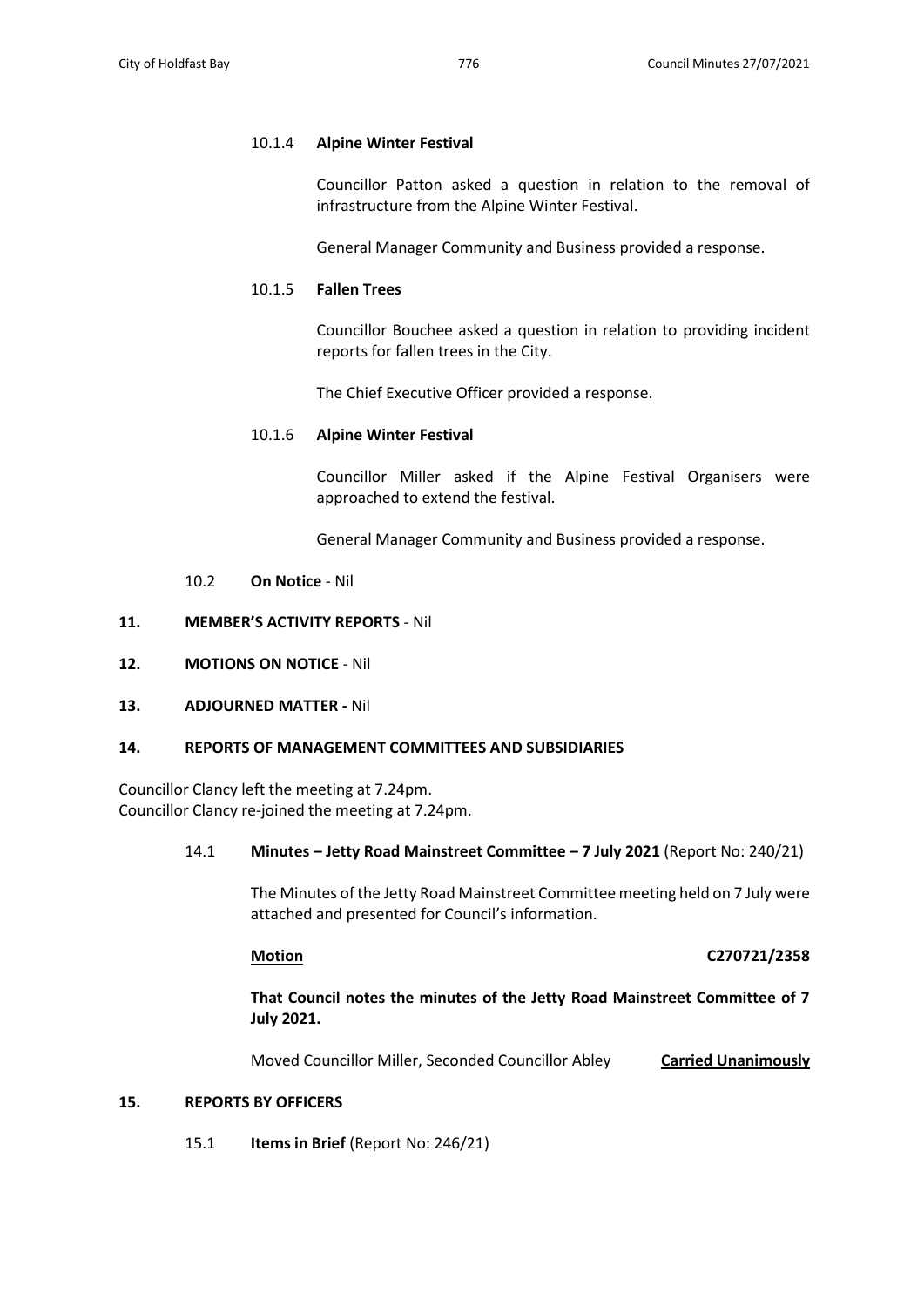## 10.1.4 **Alpine Winter Festival**

Councillor Patton asked a question in relation to the removal of infrastructure from the Alpine Winter Festival.

General Manager Community and Business provided a response.

## 10.1.5 **Fallen Trees**

Councillor Bouchee asked a question in relation to providing incident reports for fallen trees in the City.

The Chief Executive Officer provided a response.

## 10.1.6 **Alpine Winter Festival**

Councillor Miller asked if the Alpine Festival Organisers were approached to extend the festival.

General Manager Community and Business provided a response.

## 10.2 **On Notice** - Nil

## **11. MEMBER'S ACTIVITY REPORTS** - Nil

**12. MOTIONS ON NOTICE** - Nil

## **13. ADJOURNED MATTER -** Nil

## **14. REPORTS OF MANAGEMENT COMMITTEES AND SUBSIDIARIES**

Councillor Clancy left the meeting at 7.24pm. Councillor Clancy re-joined the meeting at 7.24pm.

## 14.1 **Minutes – Jetty Road Mainstreet Committee – 7 July 2021** (Report No: 240/21)

The Minutes of the Jetty Road Mainstreet Committee meeting held on 7 July were attached and presented for Council's information.

## **Motion C270721/2358**

**That Council notes the minutes of the Jetty Road Mainstreet Committee of 7 July 2021.**

Moved Councillor Miller, Seconded Councillor Abley **Carried Unanimously**

## **15. REPORTS BY OFFICERS**

15.1 **Items in Brief** (Report No: 246/21)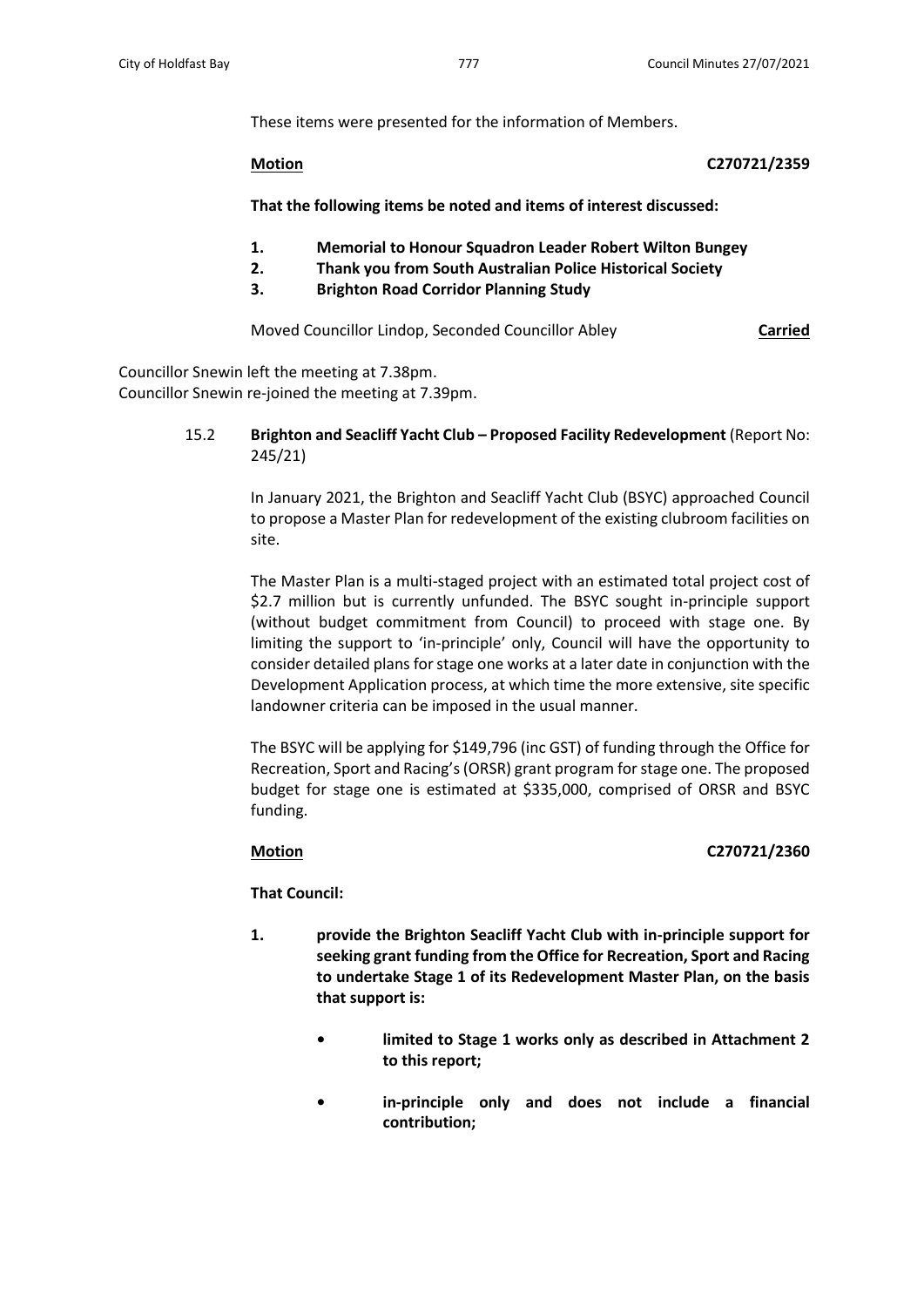These items were presented for the information of Members.

**Motion C270721/2359**

**That the following items be noted and items of interest discussed:** 

- **1. Memorial to Honour Squadron Leader Robert Wilton Bungey**
- **2. Thank you from South Australian Police Historical Society**
- **3. Brighton Road Corridor Planning Study**

Moved Councillor Lindop, Seconded Councillor Abley **Carried**

Councillor Snewin left the meeting at 7.38pm. Councillor Snewin re-joined the meeting at 7.39pm.

> 15.2 **Brighton and Seacliff Yacht Club – Proposed Facility Redevelopment** (Report No: 245/21)

> > In January 2021, the Brighton and Seacliff Yacht Club (BSYC) approached Council to propose a Master Plan for redevelopment of the existing clubroom facilities on site.

> > The Master Plan is a multi-staged project with an estimated total project cost of \$2.7 million but is currently unfunded. The BSYC sought in-principle support (without budget commitment from Council) to proceed with stage one. By limiting the support to 'in-principle' only, Council will have the opportunity to consider detailed plans for stage one works at a later date in conjunction with the Development Application process, at which time the more extensive, site specific landowner criteria can be imposed in the usual manner.

> > The BSYC will be applying for \$149,796 (inc GST) of funding through the Office for Recreation, Sport and Racing's (ORSR) grant program for stage one. The proposed budget for stage one is estimated at \$335,000, comprised of ORSR and BSYC funding.

## **Motion C270721/2360**

**That Council:**

- **1. provide the Brighton Seacliff Yacht Club with in-principle support for seeking grant funding from the Office for Recreation, Sport and Racing to undertake Stage 1 of its Redevelopment Master Plan, on the basis that support is:**
	- **• limited to Stage 1 works only as described in Attachment 2 to this report;**
	- **• in-principle only and does not include a financial contribution;**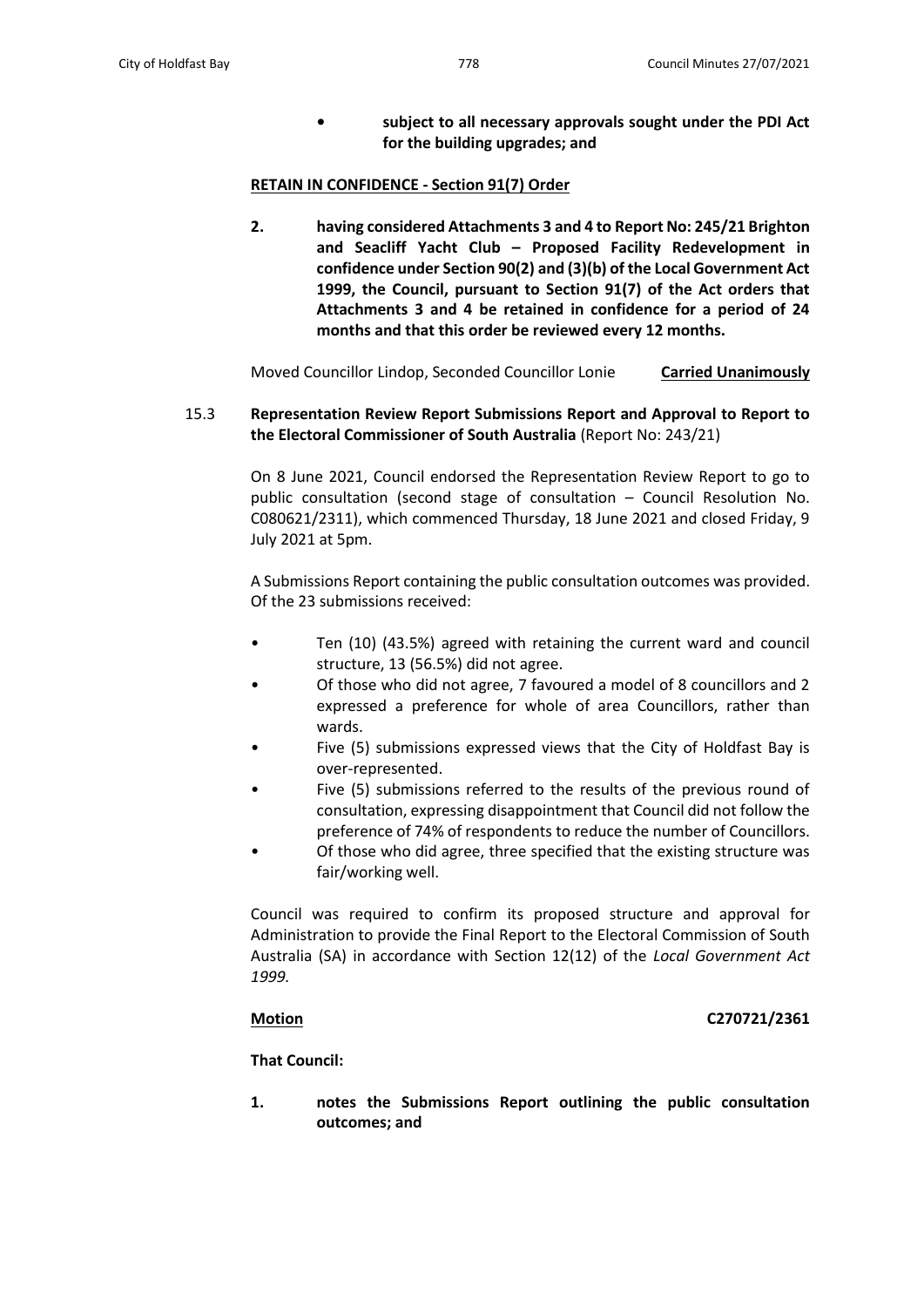**• subject to all necessary approvals sought under the PDI Act for the building upgrades; and**

## **RETAIN IN CONFIDENCE - Section 91(7) Order**

**2. having considered Attachments 3 and 4 to Report No: 245/21 Brighton and Seacliff Yacht Club – Proposed Facility Redevelopment in confidence under Section 90(2) and (3)(b) of the Local Government Act 1999, the Council, pursuant to Section 91(7) of the Act orders that Attachments 3 and 4 be retained in confidence for a period of 24 months and that this order be reviewed every 12 months.**

Moved Councillor Lindop, Seconded Councillor Lonie **Carried Unanimously**

# 15.3 **Representation Review Report Submissions Report and Approval to Report to the Electoral Commissioner of South Australia** (Report No: 243/21)

On 8 June 2021, Council endorsed the Representation Review Report to go to public consultation (second stage of consultation – Council Resolution No. C080621/2311), which commenced Thursday, 18 June 2021 and closed Friday, 9 July 2021 at 5pm.

A Submissions Report containing the public consultation outcomes was provided. Of the 23 submissions received:

- Ten (10) (43.5%) agreed with retaining the current ward and council structure, 13 (56.5%) did not agree.
- Of those who did not agree, 7 favoured a model of 8 councillors and 2 expressed a preference for whole of area Councillors, rather than wards.
- Five (5) submissions expressed views that the City of Holdfast Bay is over-represented.
- Five (5) submissions referred to the results of the previous round of consultation, expressing disappointment that Council did not follow the preference of 74% of respondents to reduce the number of Councillors.
- Of those who did agree, three specified that the existing structure was fair/working well.

Council was required to confirm its proposed structure and approval for Administration to provide the Final Report to the Electoral Commission of South Australia (SA) in accordance with Section 12(12) of the *Local Government Act 1999.*

## **Motion C270721/2361**

**That Council:**

**1. notes the Submissions Report outlining the public consultation outcomes; and**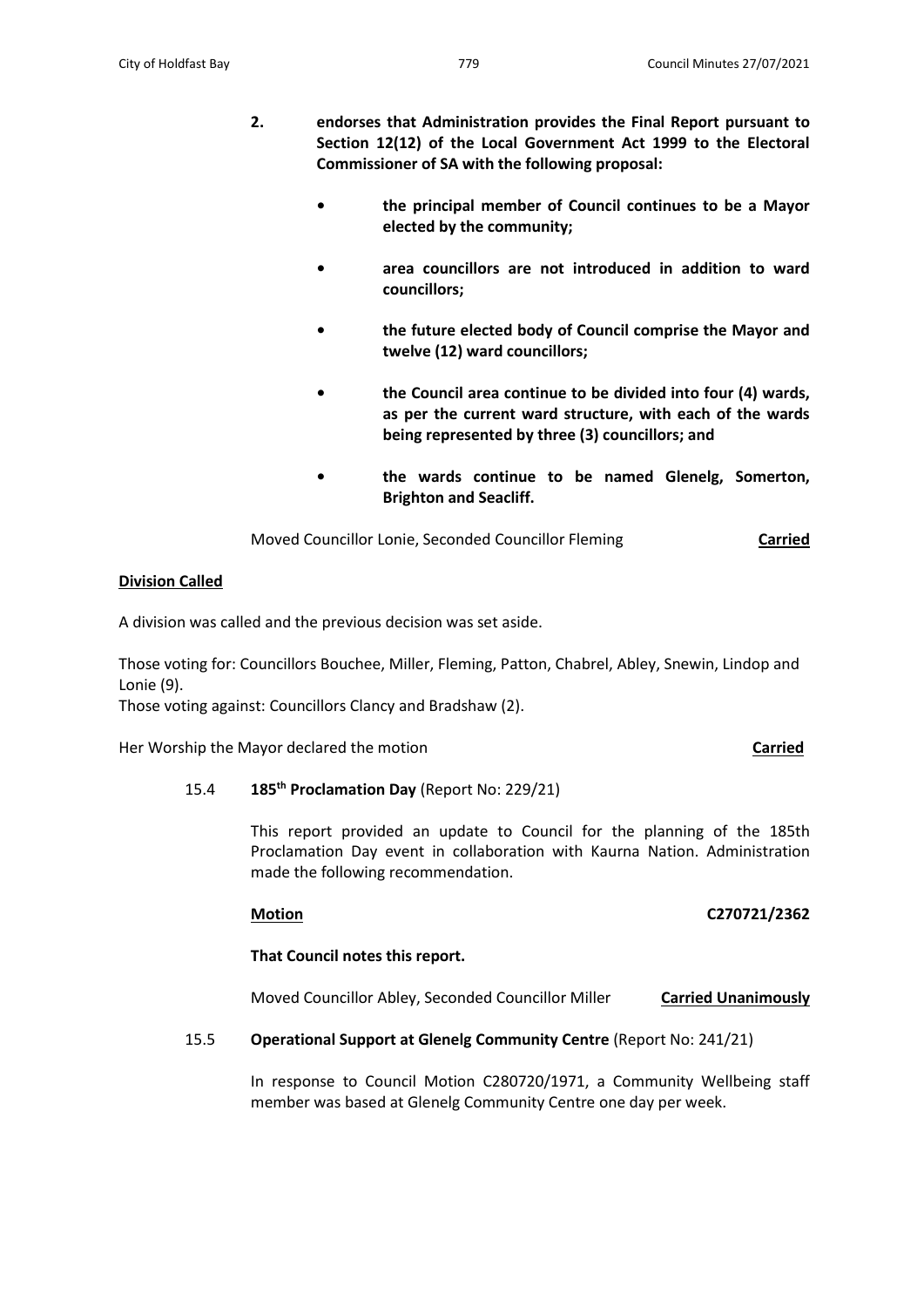- **2. endorses that Administration provides the Final Report pursuant to Section 12(12) of the Local Government Act 1999 to the Electoral Commissioner of SA with the following proposal:**
	- **• the principal member of Council continues to be a Mayor elected by the community;**
	- **• area councillors are not introduced in addition to ward councillors;**
	- **• the future elected body of Council comprise the Mayor and twelve (12) ward councillors;**
	- **• the Council area continue to be divided into four (4) wards, as per the current ward structure, with each of the wards being represented by three (3) councillors; and**
	- **• the wards continue to be named Glenelg, Somerton, Brighton and Seacliff.**

Moved Councillor Lonie, Seconded Councillor Fleming **Carried**

## **Division Called**

A division was called and the previous decision was set aside.

Those voting for: Councillors Bouchee, Miller, Fleming, Patton, Chabrel, Abley, Snewin, Lindop and Lonie (9).

Those voting against: Councillors Clancy and Bradshaw (2).

Her Worship the Mayor declared the motion **Carried**

# 15.4 **185th Proclamation Day** (Report No: 229/21)

This report provided an update to Council for the planning of the 185th Proclamation Day event in collaboration with Kaurna Nation. Administration made the following recommendation.

## **Motion C270721/2362**

# **That Council notes this report.**

Moved Councillor Abley, Seconded Councillor Miller **Carried Unanimously**

## 15.5 **Operational Support at Glenelg Community Centre** (Report No: 241/21)

In response to Council Motion C280720/1971, a Community Wellbeing staff member was based at Glenelg Community Centre one day per week.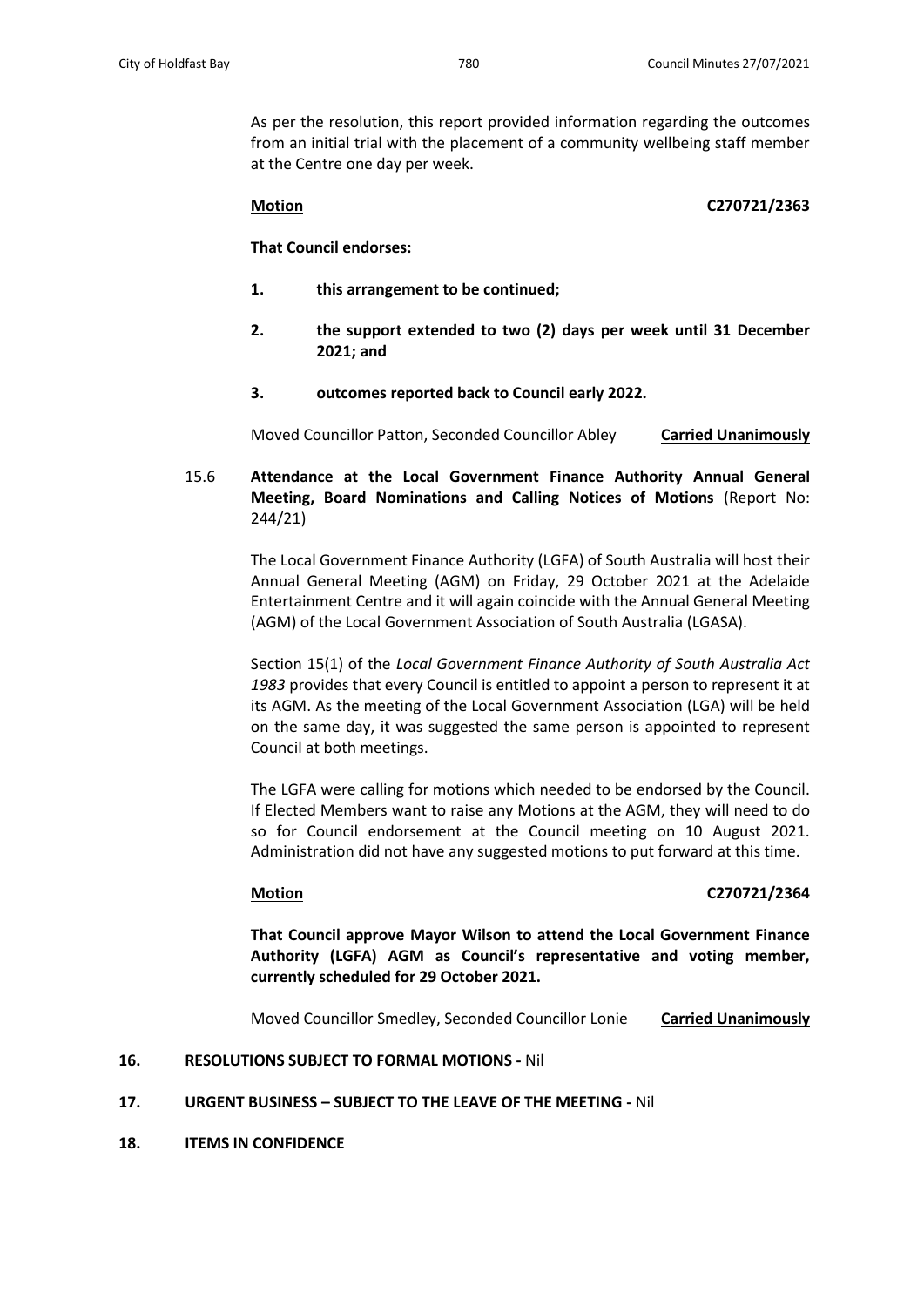As per the resolution, this report provided information regarding the outcomes from an initial trial with the placement of a community wellbeing staff member at the Centre one day per week.

## **Motion C270721/2363**

**That Council endorses:**

- **1. this arrangement to be continued;**
- **2. the support extended to two (2) days per week until 31 December 2021; and**
- **3. outcomes reported back to Council early 2022.**

Moved Councillor Patton, Seconded Councillor Abley **Carried Unanimously**

15.6 **Attendance at the Local Government Finance Authority Annual General Meeting, Board Nominations and Calling Notices of Motions** (Report No: 244/21)

> The Local Government Finance Authority (LGFA) of South Australia will host their Annual General Meeting (AGM) on Friday, 29 October 2021 at the Adelaide Entertainment Centre and it will again coincide with the Annual General Meeting (AGM) of the Local Government Association of South Australia (LGASA).

> Section 15(1) of the *Local Government Finance Authority of South Australia Act 1983* provides that every Council is entitled to appoint a person to represent it at its AGM. As the meeting of the Local Government Association (LGA) will be held on the same day, it was suggested the same person is appointed to represent Council at both meetings.

> The LGFA were calling for motions which needed to be endorsed by the Council. If Elected Members want to raise any Motions at the AGM, they will need to do so for Council endorsement at the Council meeting on 10 August 2021. Administration did not have any suggested motions to put forward at this time.

# **Motion C270721/2364**

**That Council approve Mayor Wilson to attend the Local Government Finance Authority (LGFA) AGM as Council's representative and voting member, currently scheduled for 29 October 2021.**

Moved Councillor Smedley, Seconded Councillor Lonie **Carried Unanimously**

# **16. RESOLUTIONS SUBJECT TO FORMAL MOTIONS -** Nil

## **17. URGENT BUSINESS – SUBJECT TO THE LEAVE OF THE MEETING -** Nil

**18. ITEMS IN CONFIDENCE**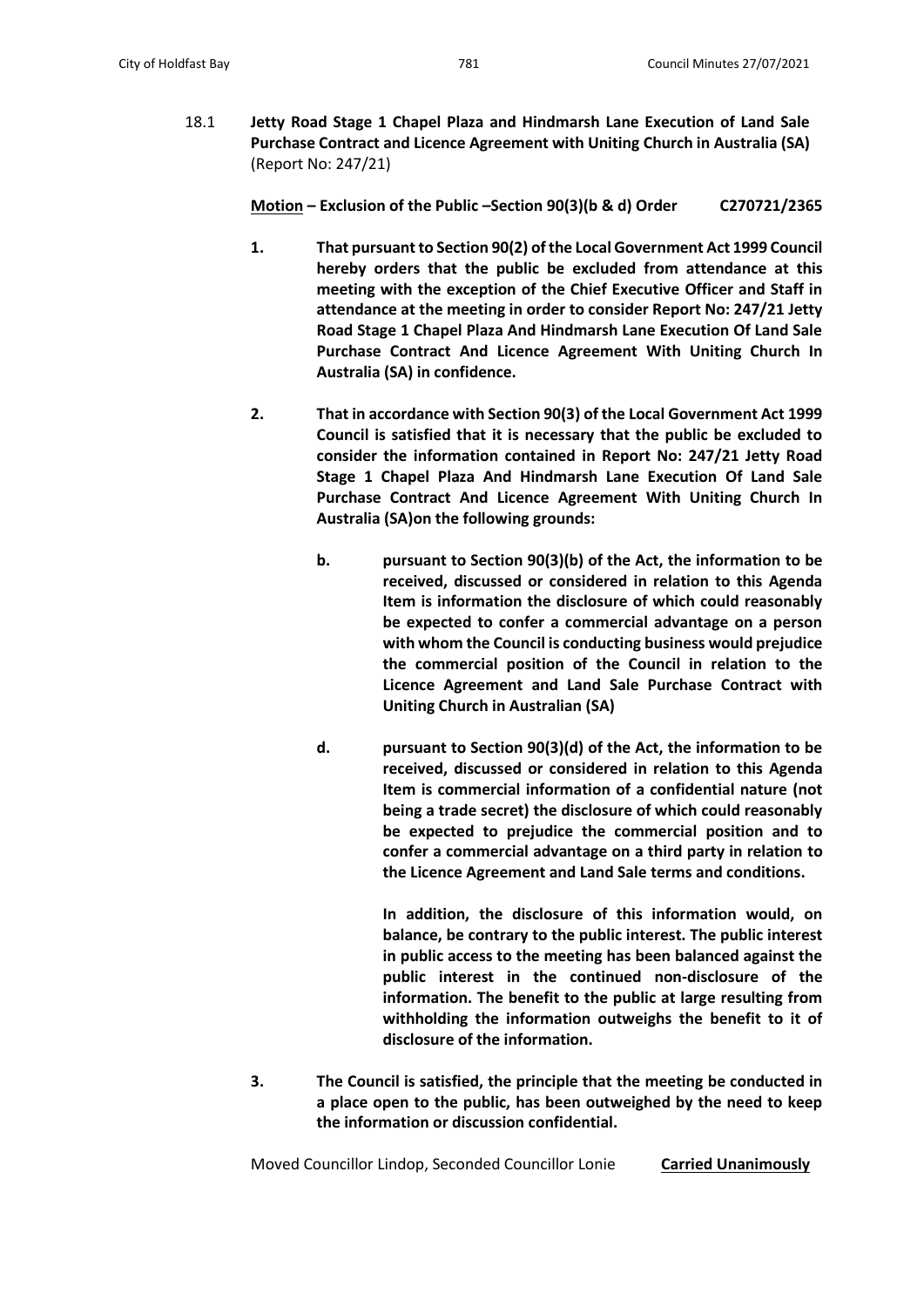18.1 **Jetty Road Stage 1 Chapel Plaza and Hindmarsh Lane Execution of Land Sale Purchase Contract and Licence Agreement with Uniting Church in Australia (SA)** (Report No: 247/21)

**Motion – Exclusion of the Public –Section 90(3)(b & d) Order C270721/2365**

- **1. That pursuant to Section 90(2) of the Local Government Act 1999 Council hereby orders that the public be excluded from attendance at this meeting with the exception of the Chief Executive Officer and Staff in attendance at the meeting in order to consider Report No: 247/21 Jetty Road Stage 1 Chapel Plaza And Hindmarsh Lane Execution Of Land Sale Purchase Contract And Licence Agreement With Uniting Church In Australia (SA) in confidence.**
- **2. That in accordance with Section 90(3) of the Local Government Act 1999 Council is satisfied that it is necessary that the public be excluded to consider the information contained in Report No: 247/21 Jetty Road Stage 1 Chapel Plaza And Hindmarsh Lane Execution Of Land Sale Purchase Contract And Licence Agreement With Uniting Church In Australia (SA)on the following grounds:**
	- **b. pursuant to Section 90(3)(b) of the Act, the information to be received, discussed or considered in relation to this Agenda Item is information the disclosure of which could reasonably be expected to confer a commercial advantage on a person with whom the Council is conducting business would prejudice the commercial position of the Council in relation to the Licence Agreement and Land Sale Purchase Contract with Uniting Church in Australian (SA)**
	- **d. pursuant to Section 90(3)(d) of the Act, the information to be received, discussed or considered in relation to this Agenda Item is commercial information of a confidential nature (not being a trade secret) the disclosure of which could reasonably be expected to prejudice the commercial position and to confer a commercial advantage on a third party in relation to the Licence Agreement and Land Sale terms and conditions.**

**In addition, the disclosure of this information would, on balance, be contrary to the public interest. The public interest in public access to the meeting has been balanced against the public interest in the continued non-disclosure of the information. The benefit to the public at large resulting from withholding the information outweighs the benefit to it of disclosure of the information.** 

**3. The Council is satisfied, the principle that the meeting be conducted in a place open to the public, has been outweighed by the need to keep the information or discussion confidential.**

Moved Councillor Lindop, Seconded Councillor Lonie **Carried Unanimously**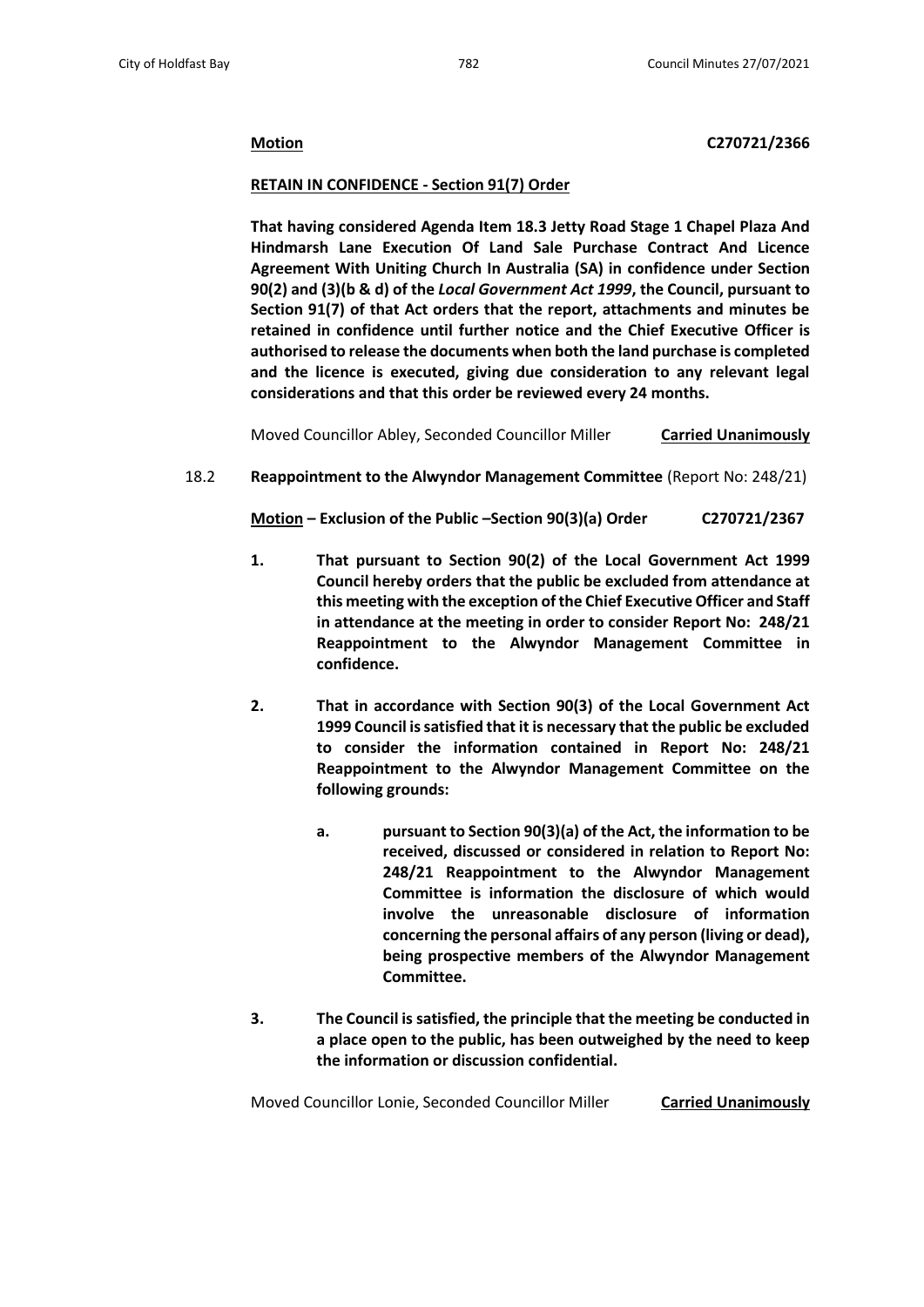## **Motion C270721/2366**

#### **RETAIN IN CONFIDENCE - Section 91(7) Order**

**That having considered Agenda Item 18.3 Jetty Road Stage 1 Chapel Plaza And Hindmarsh Lane Execution Of Land Sale Purchase Contract And Licence Agreement With Uniting Church In Australia (SA) in confidence under Section 90(2) and (3)(b & d) of the** *Local Government Act 1999***, the Council, pursuant to Section 91(7) of that Act orders that the report, attachments and minutes be retained in confidence until further notice and the Chief Executive Officer is authorised to release the documents when both the land purchase is completed and the licence is executed, giving due consideration to any relevant legal considerations and that this order be reviewed every 24 months.**

Moved Councillor Abley, Seconded Councillor Miller **Carried Unanimously**

## 18.2 **Reappointment to the Alwyndor Management Committee** (Report No: 248/21)

**Motion – Exclusion of the Public –Section 90(3)(a) Order C270721/2367**

- **1. That pursuant to Section 90(2) of the Local Government Act 1999 Council hereby orders that the public be excluded from attendance at this meeting with the exception of the Chief Executive Officer and Staff in attendance at the meeting in order to consider Report No: 248/21 Reappointment to the Alwyndor Management Committee in confidence.**
- **2. That in accordance with Section 90(3) of the Local Government Act 1999 Council is satisfied that it is necessary that the public be excluded to consider the information contained in Report No: 248/21 Reappointment to the Alwyndor Management Committee on the following grounds:**
	- **a. pursuant to Section 90(3)(a) of the Act, the information to be received, discussed or considered in relation to Report No: 248/21 Reappointment to the Alwyndor Management Committee is information the disclosure of which would involve the unreasonable disclosure of information concerning the personal affairs of any person (living or dead), being prospective members of the Alwyndor Management Committee.**
- **3. The Council is satisfied, the principle that the meeting be conducted in a place open to the public, has been outweighed by the need to keep the information or discussion confidential.**

Moved Councillor Lonie, Seconded Councillor Miller **Carried Unanimously**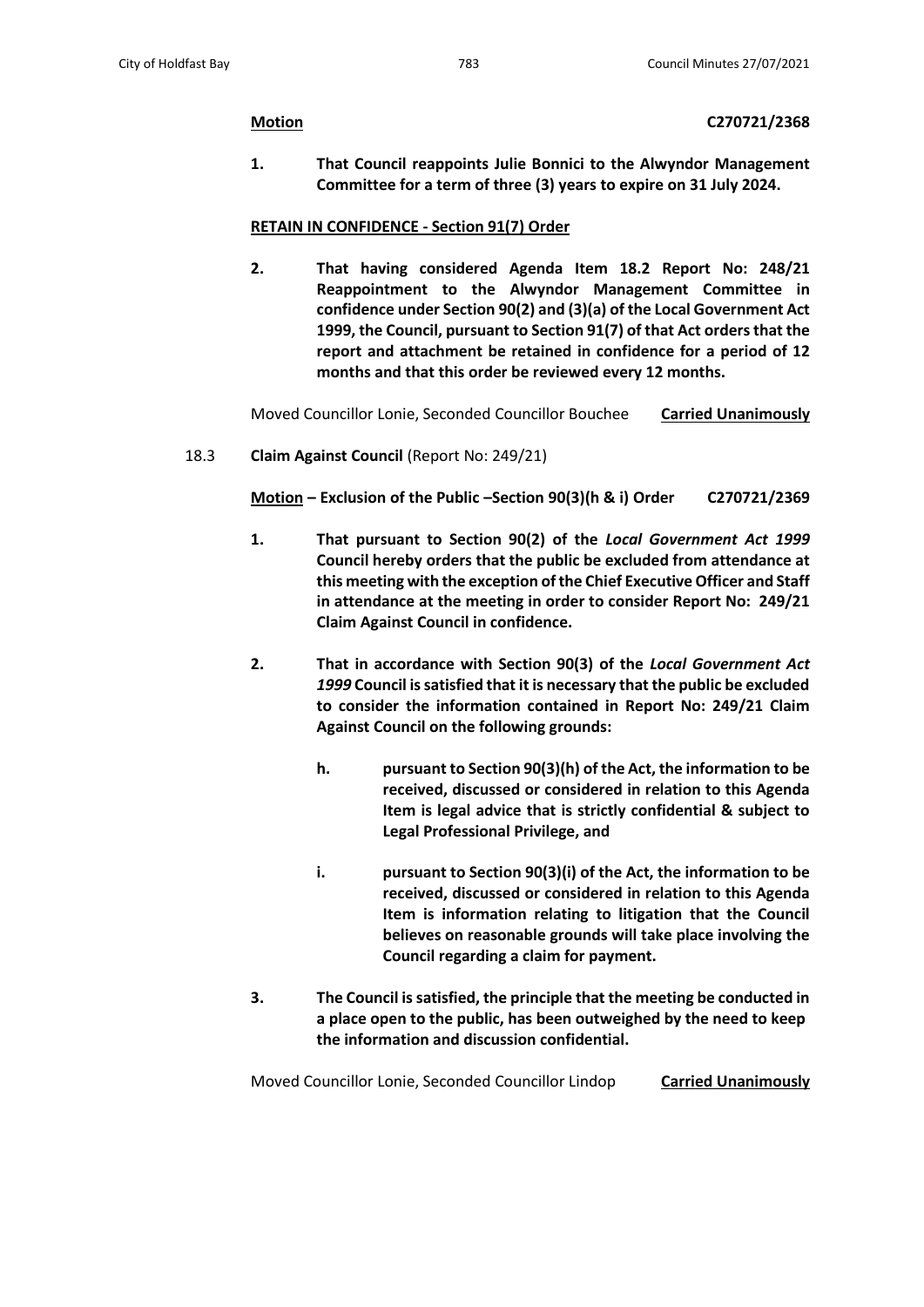**1. That Council reappoints Julie Bonnici to the Alwyndor Management Committee for a term of three (3) years to expire on 31 July 2024.**

## **RETAIN IN CONFIDENCE - Section 91(7) Order**

**2. That having considered Agenda Item 18.2 Report No: 248/21 Reappointment to the Alwyndor Management Committee in confidence under Section 90(2) and (3)(a) of the Local Government Act 1999, the Council, pursuant to Section 91(7) of that Act orders that the report and attachment be retained in confidence for a period of 12 months and that this order be reviewed every 12 months.**

Moved Councillor Lonie, Seconded Councillor Bouchee **Carried Unanimously**

18.3 **Claim Against Council** (Report No: 249/21)

**Motion – Exclusion of the Public –Section 90(3)(h & i) Order C270721/2369**

- **1. That pursuant to Section 90(2) of the** *Local Government Act 1999* **Council hereby orders that the public be excluded from attendance at this meeting with the exception of the Chief Executive Officer and Staff in attendance at the meeting in order to consider Report No: 249/21 Claim Against Council in confidence.**
- **2. That in accordance with Section 90(3) of the** *Local Government Act 1999* **Council is satisfied that it is necessary that the public be excluded to consider the information contained in Report No: 249/21 Claim Against Council on the following grounds:**
	- **h. pursuant to Section 90(3)(h) of the Act, the information to be received, discussed or considered in relation to this Agenda Item is legal advice that is strictly confidential & subject to Legal Professional Privilege, and**
	- **i. pursuant to Section 90(3)(i) of the Act, the information to be received, discussed or considered in relation to this Agenda Item is information relating to litigation that the Council believes on reasonable grounds will take place involving the Council regarding a claim for payment.**
- **3. The Council is satisfied, the principle that the meeting be conducted in a place open to the public, has been outweighed by the need to keep the information and discussion confidential.**

Moved Councillor Lonie, Seconded Councillor Lindop **Carried Unanimously**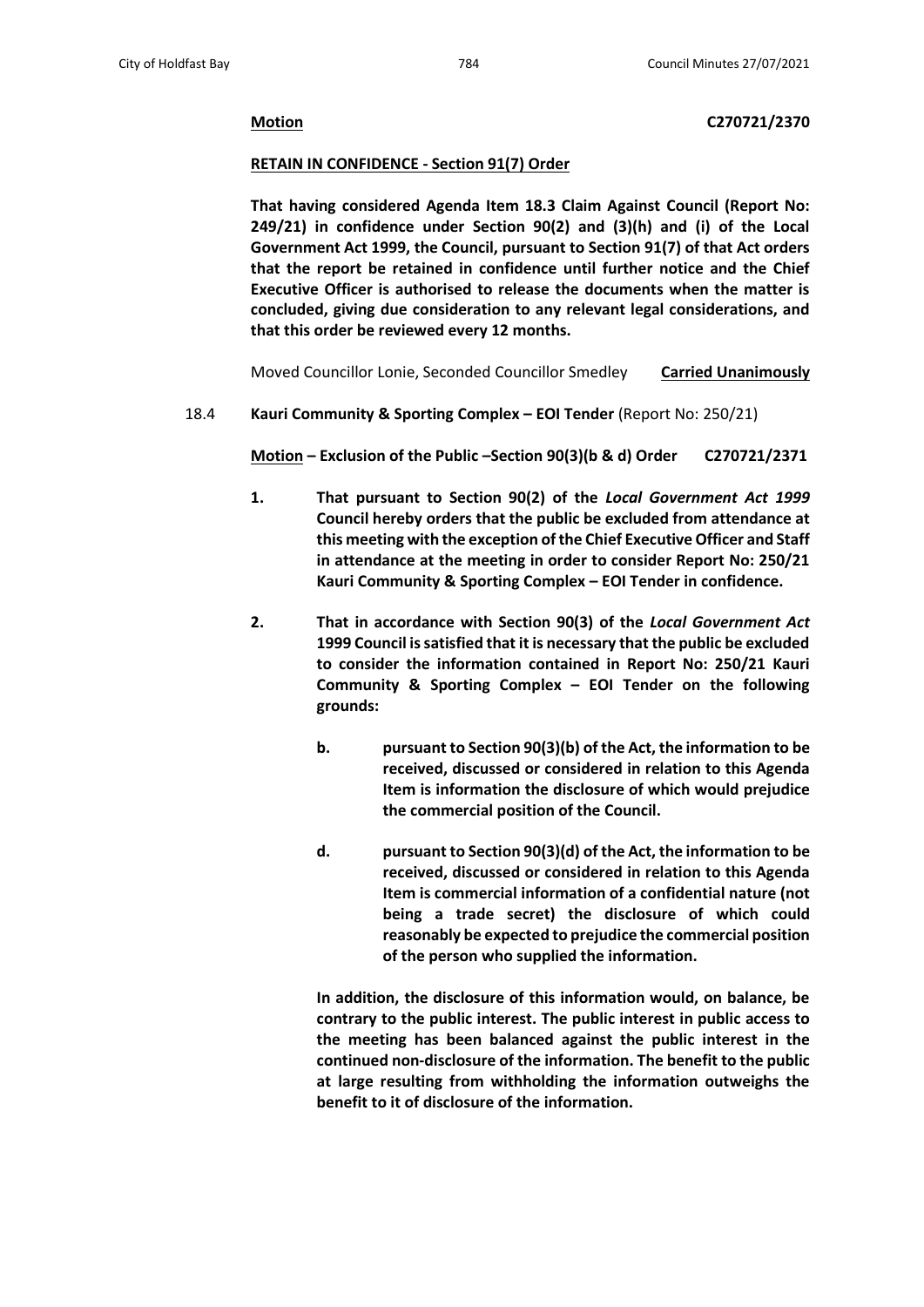**Motion C270721/2370**

## **RETAIN IN CONFIDENCE - Section 91(7) Order**

**That having considered Agenda Item 18.3 Claim Against Council (Report No: 249/21) in confidence under Section 90(2) and (3)(h) and (i) of the Local Government Act 1999, the Council, pursuant to Section 91(7) of that Act orders that the report be retained in confidence until further notice and the Chief Executive Officer is authorised to release the documents when the matter is concluded, giving due consideration to any relevant legal considerations, and that this order be reviewed every 12 months.**

Moved Councillor Lonie, Seconded Councillor Smedley **Carried Unanimously**

18.4 **Kauri Community & Sporting Complex – EOI Tender** (Report No: 250/21)

**Motion – Exclusion of the Public –Section 90(3)(b & d) Order C270721/2371**

- **1. That pursuant to Section 90(2) of the** *Local Government Act 1999* **Council hereby orders that the public be excluded from attendance at this meeting with the exception of the Chief Executive Officer and Staff in attendance at the meeting in order to consider Report No: 250/21 Kauri Community & Sporting Complex – EOI Tender in confidence.**
- **2. That in accordance with Section 90(3) of the** *Local Government Act* **1999 Council is satisfied that it is necessary that the public be excluded to consider the information contained in Report No: 250/21 Kauri Community & Sporting Complex – EOI Tender on the following grounds:**
	- **b. pursuant to Section 90(3)(b) of the Act, the information to be received, discussed or considered in relation to this Agenda Item is information the disclosure of which would prejudice the commercial position of the Council.**
	- **d. pursuant to Section 90(3)(d) of the Act, the information to be received, discussed or considered in relation to this Agenda Item is commercial information of a confidential nature (not being a trade secret) the disclosure of which could reasonably be expected to prejudice the commercial position of the person who supplied the information.**

**In addition, the disclosure of this information would, on balance, be contrary to the public interest. The public interest in public access to the meeting has been balanced against the public interest in the continued non-disclosure of the information. The benefit to the public at large resulting from withholding the information outweighs the benefit to it of disclosure of the information.**